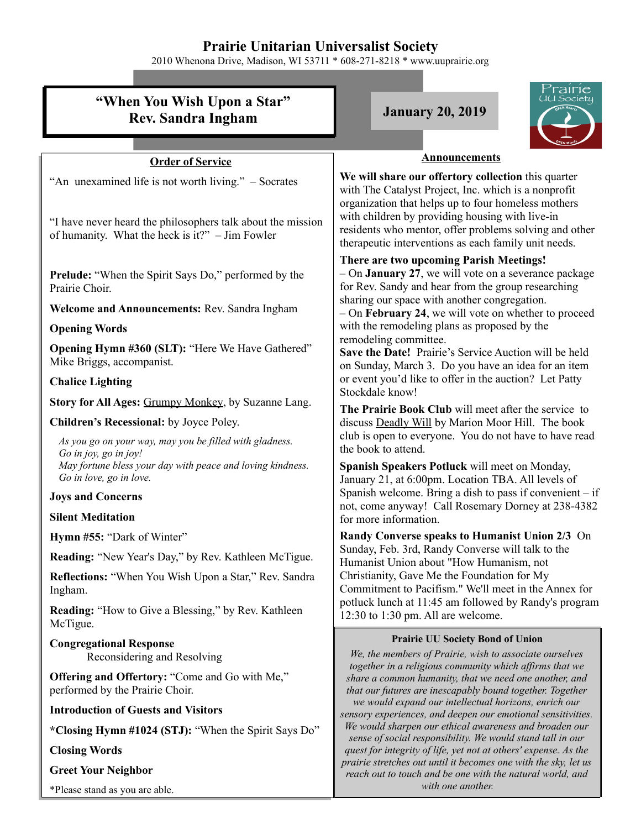## **Prairie Unitarian Universalist Society**

2010 Whenona Drive, Madison, WI 53711 \* 608-271-8218 \* www.uuprairie.org

| <i>rairie</i>                                                                                                                                                             |                                                                                                                                                                                                                                                                                                                                                                                                                                                                                                                                                                                                                                                                                                                                                                                                                                                                                                                                                                                                 |
|---------------------------------------------------------------------------------------------------------------------------------------------------------------------------|-------------------------------------------------------------------------------------------------------------------------------------------------------------------------------------------------------------------------------------------------------------------------------------------------------------------------------------------------------------------------------------------------------------------------------------------------------------------------------------------------------------------------------------------------------------------------------------------------------------------------------------------------------------------------------------------------------------------------------------------------------------------------------------------------------------------------------------------------------------------------------------------------------------------------------------------------------------------------------------------------|
| "When You Wish Upon a Star"<br><b>Rev. Sandra Ingham</b>                                                                                                                  | JU Societu<br><b>January 20, 2019</b>                                                                                                                                                                                                                                                                                                                                                                                                                                                                                                                                                                                                                                                                                                                                                                                                                                                                                                                                                           |
|                                                                                                                                                                           |                                                                                                                                                                                                                                                                                                                                                                                                                                                                                                                                                                                                                                                                                                                                                                                                                                                                                                                                                                                                 |
| <b>Order of Service</b>                                                                                                                                                   | <b>Announcements</b>                                                                                                                                                                                                                                                                                                                                                                                                                                                                                                                                                                                                                                                                                                                                                                                                                                                                                                                                                                            |
| "An unexamined life is not worth living." – Socrates<br>"I have never heard the philosophers talk about the mission<br>of humanity. What the heck is it?" - Jim Fowler    | We will share our offertory collection this quarter<br>with The Catalyst Project, Inc. which is a nonprofit<br>organization that helps up to four homeless mothers<br>with children by providing housing with live-in<br>residents who mentor, offer problems solving and other<br>therapeutic interventions as each family unit needs.                                                                                                                                                                                                                                                                                                                                                                                                                                                                                                                                                                                                                                                         |
| <b>Prelude:</b> "When the Spirit Says Do," performed by the<br>Prairie Choir.                                                                                             | There are two upcoming Parish Meetings!<br>$-$ On <b>January 27</b> , we will vote on a severance package<br>for Rev. Sandy and hear from the group researching<br>sharing our space with another congregation.<br>- On February 24, we will vote on whether to proceed<br>with the remodeling plans as proposed by the<br>remodeling committee.<br>Save the Date! Prairie's Service Auction will be held<br>on Sunday, March 3. Do you have an idea for an item<br>or event you'd like to offer in the auction? Let Patty<br>Stockdale know!<br>The Prairie Book Club will meet after the service to<br>discuss Deadly Will by Marion Moor Hill. The book<br>club is open to everyone. You do not have to have read<br>the book to attend.<br>Spanish Speakers Potluck will meet on Monday,<br>January 21, at 6:00pm. Location TBA. All levels of<br>Spanish welcome. Bring a dish to pass if convenient $-$ if<br>not, come anyway! Call Rosemary Dorney at 238-4382<br>for more information. |
| Welcome and Announcements: Rev. Sandra Ingham                                                                                                                             |                                                                                                                                                                                                                                                                                                                                                                                                                                                                                                                                                                                                                                                                                                                                                                                                                                                                                                                                                                                                 |
| <b>Opening Words</b><br><b>Opening Hymn #360 (SLT): "Here We Have Gathered"</b><br>Mike Briggs, accompanist.                                                              |                                                                                                                                                                                                                                                                                                                                                                                                                                                                                                                                                                                                                                                                                                                                                                                                                                                                                                                                                                                                 |
| <b>Chalice Lighting</b>                                                                                                                                                   |                                                                                                                                                                                                                                                                                                                                                                                                                                                                                                                                                                                                                                                                                                                                                                                                                                                                                                                                                                                                 |
| Story for All Ages: Grumpy Monkey, by Suzanne Lang.                                                                                                                       |                                                                                                                                                                                                                                                                                                                                                                                                                                                                                                                                                                                                                                                                                                                                                                                                                                                                                                                                                                                                 |
| Children's Recessional: by Joyce Poley.                                                                                                                                   |                                                                                                                                                                                                                                                                                                                                                                                                                                                                                                                                                                                                                                                                                                                                                                                                                                                                                                                                                                                                 |
| As you go on your way, may you be filled with gladness.<br>Go in joy, go in joy!<br>May fortune bless your day with peace and loving kindness.<br>Go in love, go in love. |                                                                                                                                                                                                                                                                                                                                                                                                                                                                                                                                                                                                                                                                                                                                                                                                                                                                                                                                                                                                 |
| <b>Joys and Concerns</b>                                                                                                                                                  |                                                                                                                                                                                                                                                                                                                                                                                                                                                                                                                                                                                                                                                                                                                                                                                                                                                                                                                                                                                                 |
| <b>Silent Meditation</b>                                                                                                                                                  |                                                                                                                                                                                                                                                                                                                                                                                                                                                                                                                                                                                                                                                                                                                                                                                                                                                                                                                                                                                                 |
| Hymn #55: "Dark of Winter"                                                                                                                                                | Randy Converse speaks to Humanist Union 2/3 On<br>Sunday, Feb. 3rd, Randy Converse will talk to the<br>Humanist Union about "How Humanism, not<br>Christianity, Gave Me the Foundation for My<br>Commitment to Pacifism." We'll meet in the Annex for<br>potluck lunch at 11:45 am followed by Randy's program<br>12:30 to 1:30 pm. All are welcome.                                                                                                                                                                                                                                                                                                                                                                                                                                                                                                                                                                                                                                            |
| Reading: "New Year's Day," by Rev. Kathleen McTigue.                                                                                                                      |                                                                                                                                                                                                                                                                                                                                                                                                                                                                                                                                                                                                                                                                                                                                                                                                                                                                                                                                                                                                 |
| Reflections: "When You Wish Upon a Star," Rev. Sandra<br>Ingham.                                                                                                          |                                                                                                                                                                                                                                                                                                                                                                                                                                                                                                                                                                                                                                                                                                                                                                                                                                                                                                                                                                                                 |
| <b>Reading:</b> "How to Give a Blessing," by Rev. Kathleen<br>McTigue.                                                                                                    |                                                                                                                                                                                                                                                                                                                                                                                                                                                                                                                                                                                                                                                                                                                                                                                                                                                                                                                                                                                                 |
| <b>Congregational Response</b><br>Reconsidering and Resolving                                                                                                             | <b>Prairie UU Society Bond of Union</b><br>We, the members of Prairie, wish to associate ourselves<br>together in a religious community which affirms that we<br>share a common humanity, that we need one another, and<br>that our futures are inescapably bound together. Together<br>we would expand our intellectual horizons, enrich our<br>sensory experiences, and deepen our emotional sensitivities.<br>We would sharpen our ethical awareness and broaden our<br>sense of social responsibility. We would stand tall in our<br>quest for integrity of life, yet not at others' expense. As the<br>prairie stretches out until it becomes one with the sky, let us<br>reach out to touch and be one with the natural world, and                                                                                                                                                                                                                                                        |
| <b>Offering and Offertory: "Come and Go with Me,"</b><br>performed by the Prairie Choir.                                                                                  |                                                                                                                                                                                                                                                                                                                                                                                                                                                                                                                                                                                                                                                                                                                                                                                                                                                                                                                                                                                                 |
| <b>Introduction of Guests and Visitors</b>                                                                                                                                |                                                                                                                                                                                                                                                                                                                                                                                                                                                                                                                                                                                                                                                                                                                                                                                                                                                                                                                                                                                                 |
| *Closing Hymn #1024 (STJ): "When the Spirit Says Do"                                                                                                                      |                                                                                                                                                                                                                                                                                                                                                                                                                                                                                                                                                                                                                                                                                                                                                                                                                                                                                                                                                                                                 |
| <b>Closing Words</b>                                                                                                                                                      |                                                                                                                                                                                                                                                                                                                                                                                                                                                                                                                                                                                                                                                                                                                                                                                                                                                                                                                                                                                                 |
| <b>Greet Your Neighbor</b>                                                                                                                                                |                                                                                                                                                                                                                                                                                                                                                                                                                                                                                                                                                                                                                                                                                                                                                                                                                                                                                                                                                                                                 |

*with one another.* 

\*Please stand as you are able.